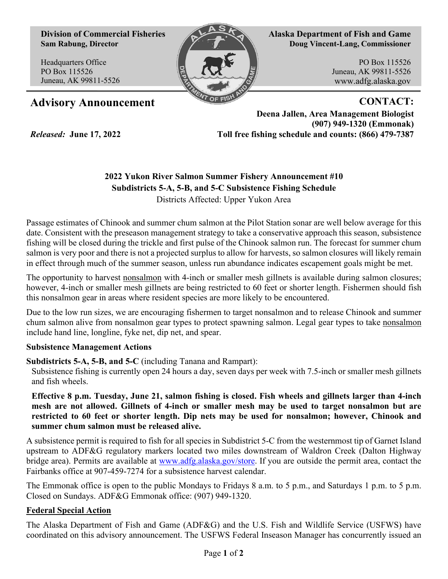**Division of Commercial Fisheries Sam Rabung, Director**

Headquarters Office PO Box 115526 Juneau, AK 99811-5526

*Released:* **June 17, 2022**



**Alaska Department of Fish and Game Doug Vincent-Lang, Commissioner**

> PO Box 115526 Juneau, AK 99811-5526 www.adfg.alaska.gov

## Advisory Announcement **CONTACT:**

**Deena Jallen, Area Management Biologist (907) 949-1320 (Emmonak) Toll free fishing schedule and counts: (866) 479-7387**

## **2022 Yukon River Salmon Summer Fishery Announcement #10 Subdistricts 5-A, 5-B, and 5-C Subsistence Fishing Schedule**

Districts Affected: Upper Yukon Area

Passage estimates of Chinook and summer chum salmon at the Pilot Station sonar are well below average for this date. Consistent with the preseason management strategy to take a conservative approach this season, subsistence fishing will be closed during the trickle and first pulse of the Chinook salmon run. The forecast for summer chum salmon is very poor and there is not a projected surplus to allow for harvests, so salmon closures will likely remain in effect through much of the summer season, unless run abundance indicates escapement goals might be met.

The opportunity to harvest nonsalmon with 4-inch or smaller mesh gillnets is available during salmon closures; however, 4-inch or smaller mesh gillnets are being restricted to 60 feet or shorter length. Fishermen should fish this nonsalmon gear in areas where resident species are more likely to be encountered.

Due to the low run sizes, we are encouraging fishermen to target nonsalmon and to release Chinook and summer chum salmon alive from nonsalmon gear types to protect spawning salmon. Legal gear types to take nonsalmon include hand line, longline, fyke net, dip net, and spear.

## **Subsistence Management Actions**

**Subdistricts 5-A, 5-B, and 5-C** (including Tanana and Rampart):

Subsistence fishing is currently open 24 hours a day, seven days per week with 7.5-inch or smaller mesh gillnets and fish wheels.

**Effective 8 p.m. Tuesday, June 21, salmon fishing is closed. Fish wheels and gillnets larger than 4-inch mesh are not allowed. Gillnets of 4-inch or smaller mesh may be used to target nonsalmon but are restricted to 60 feet or shorter length. Dip nets may be used for nonsalmon; however, Chinook and summer chum salmon must be released alive.** 

A subsistence permit is required to fish for all species in Subdistrict 5-C from the westernmost tip of Garnet Island upstream to ADF&G regulatory markers located two miles downstream of Waldron Creek (Dalton Highway bridge area). Permits are available at [www.adfg.alaska.gov/store](http://www.adfg.alaska.gov/store). If you are outside the permit area, contact the Fairbanks office at 907-459-7274 for a subsistence harvest calendar.

The Emmonak office is open to the public Mondays to Fridays 8 a.m. to 5 p.m., and Saturdays 1 p.m. to 5 p.m. Closed on Sundays. ADF&G Emmonak office: (907) 949-1320.

## **Federal Special Action**

The Alaska Department of Fish and Game (ADF&G) and the U.S. Fish and Wildlife Service (USFWS) have coordinated on this advisory announcement. The USFWS Federal Inseason Manager has concurrently issued an